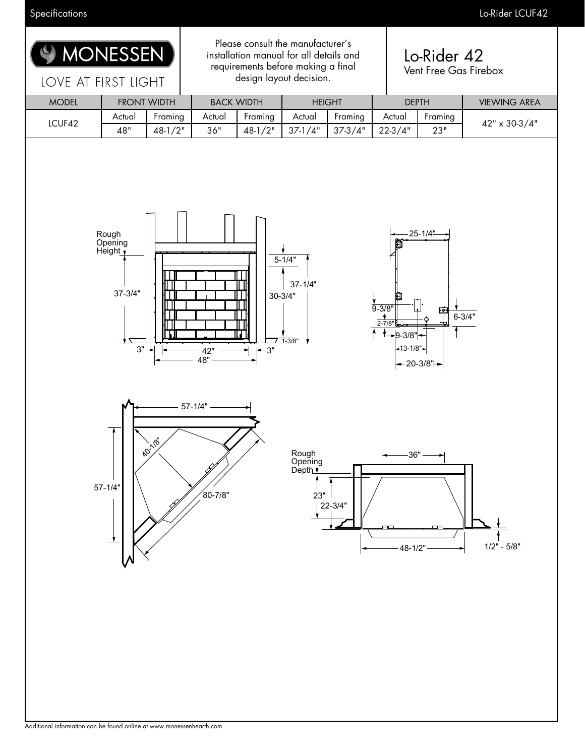

Specifications